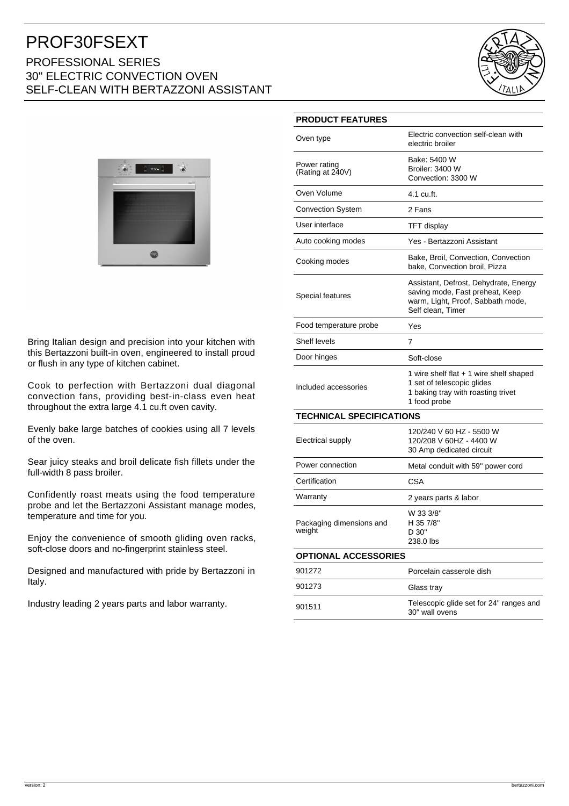# PROF30FSEXT PROFESSIONAL SERIES 30" ELECTRIC CONVECTION OVEN SELF-CLEAN WITH BERTAZZONI ASSISTANT





Bring Italian design and precision into your kitchen with this Bertazzoni built-in oven, engineered to install proud or flush in any type of kitchen cabinet.

Cook to perfection with Bertazzoni dual diagonal convection fans, providing best-in-class even heat throughout the extra large 4.1 cu.ft oven cavity.

Evenly bake large batches of cookies using all 7 levels of the oven.

Sear juicy steaks and broil delicate fish fillets under the full-width 8 pass broiler.

Confidently roast meats using the food temperature probe and let the Bertazzoni Assistant manage modes, temperature and time for you.

Enjoy the convenience of smooth gliding oven racks, soft-close doors and no-fingerprint stainless steel.

Designed and manufactured with pride by Bertazzoni in Italy.

Industry leading 2 years parts and labor warranty.

|  |  |  | <b>PRODUCT FEATURES</b> |  |
|--|--|--|-------------------------|--|
|  |  |  |                         |  |

| Oven type                          | Electric convection self-clean with<br>electric broiler                                                                            |  |  |  |  |
|------------------------------------|------------------------------------------------------------------------------------------------------------------------------------|--|--|--|--|
| Power rating<br>(Rating at 240V)   | Bake: 5400 W<br><b>Broiler: 3400 W</b><br>Convection: 3300 W                                                                       |  |  |  |  |
| Oven Volume                        | 4.1 cu.ft.                                                                                                                         |  |  |  |  |
| <b>Convection System</b>           | 2 Fans                                                                                                                             |  |  |  |  |
| User interface                     | TFT display                                                                                                                        |  |  |  |  |
| Auto cooking modes                 | Yes - Bertazzoni Assistant                                                                                                         |  |  |  |  |
| Cooking modes                      | Bake, Broil, Convection, Convection<br>bake, Convection broil, Pizza                                                               |  |  |  |  |
| Special features                   | Assistant, Defrost, Dehydrate, Energy<br>saving mode, Fast preheat, Keep<br>warm, Light, Proof, Sabbath mode,<br>Self clean, Timer |  |  |  |  |
| Food temperature probe             | Yes                                                                                                                                |  |  |  |  |
| Shelf levels                       | 7                                                                                                                                  |  |  |  |  |
| Door hinges                        | Soft-close                                                                                                                         |  |  |  |  |
| Included accessories               | 1 wire shelf flat $+$ 1 wire shelf shaped<br>1 set of telescopic glides<br>1 baking tray with roasting trivet<br>1 food probe      |  |  |  |  |
| <b>TECHNICAL SPECIFICATIONS</b>    |                                                                                                                                    |  |  |  |  |
| Electrical supply                  | 120/240 V 60 HZ - 5500 W<br>120/208 V 60HZ - 4400 W<br>30 Amp dedicated circuit                                                    |  |  |  |  |
| Power connection                   | Metal conduit with 59" power cord                                                                                                  |  |  |  |  |
| Certification                      | CSA                                                                                                                                |  |  |  |  |
| Warranty                           | 2 years parts & labor                                                                                                              |  |  |  |  |
| Packaging dimensions and<br>weight | W 33 3/8"<br>H 35 7/8"<br>D 30"<br>238.0 lbs                                                                                       |  |  |  |  |
| <b>OPTIONAL ACCESSORIES</b>        |                                                                                                                                    |  |  |  |  |
| 901272                             | Porcelain casserole dish                                                                                                           |  |  |  |  |
| 901273                             | Glass tray                                                                                                                         |  |  |  |  |
| 901511                             | Telescopic glide set for 24" ranges and<br>30" wall ovens                                                                          |  |  |  |  |